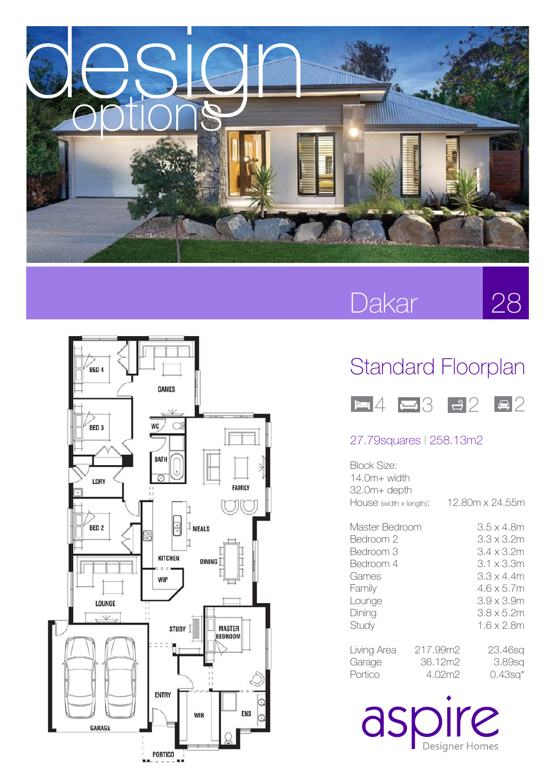

## Dakar

28



## Standard Floorplan



### 27.79squares l 258.13m2

| Block Size:<br>14.0m+ width<br>32.0m+ depth                                                           |                               |                                                                                                                                    |
|-------------------------------------------------------------------------------------------------------|-------------------------------|------------------------------------------------------------------------------------------------------------------------------------|
| HOUSE (width x length):                                                                               |                               | 12.80m x 24.55m                                                                                                                    |
| Master Bedroom<br>Bedroom 2<br>Bedroom 3<br>Bedroom 4<br>Games<br>Family<br>Lounge<br>Dining<br>Study |                               | 3.5 x 4.8m<br>3.3 x 3.2m<br>3.4 x 3.2m<br>3.1 x 3.3m<br>3.3 x 4.4m<br>4.6 x 5.7m<br>3.9 x 3.9m<br>$3.8 \times 5.2$ m<br>1.6 x 2.8m |
| Living Area<br>Garage<br>Portico                                                                      | 217.99m2<br>36.12m2<br>4.02m2 | 23.46sq<br>3.89sa<br>0.43sq*                                                                                                       |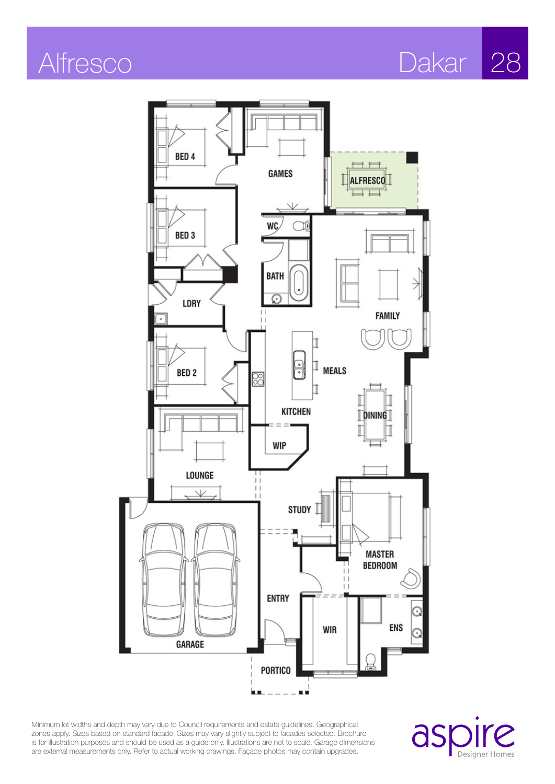Alfresco Dakar 28



Minimum lot widths and depth may vary due to Council requirements and estate guidelines. Geographical zones apply. Sizes based on standard facade. Sizes may vary slightly subject to facades selected. Brochure is for illustration purposes and should be used as a guide only. Illustrations are not to scale. Garage dimensions are external measurements only. Refer to actual working drawings. Façade photos may contain upgrades.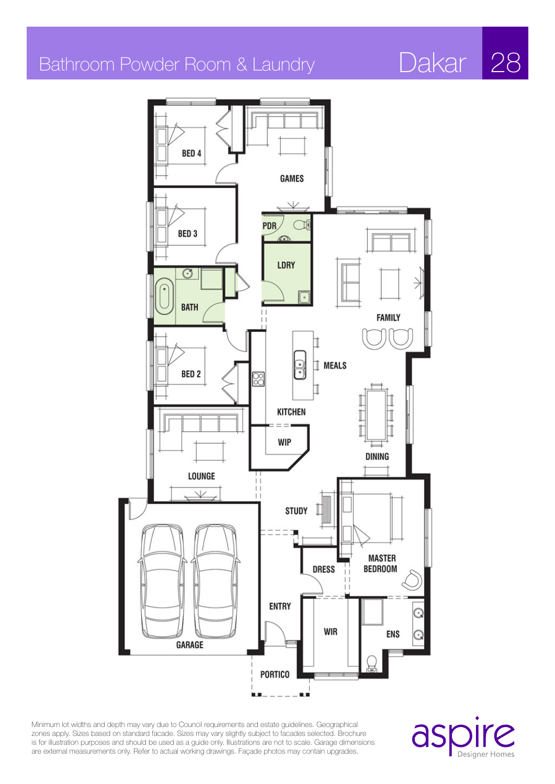## Bathroom Powder Room & Laundry Dakar 28

BED<sub>4</sub> **GAMES**  $\vee$ **PDR** BED<sub>3</sub> LDRY σ **BATH FAMILY**  $\bullet$  $\parallel$  MEALS BED<sub>2</sub> ⊠ ٦ **KITCHEN WIP DINING** LOUNGE  $\vee$ **STUDY MASTER DRESS BEDROOM ENTRY WIR ENS** GARAGE **PORTICO** 

шó

Minimum lot widths and depth may vary due to Council requirements and estate guidelines. Geographical zones apply. Sizes based on standard facade. Sizes may vary slightly subject to facades selected. Brochure is for illustration purposes and should be used as a guide only. Illustrations are not to scale. Garage dimensions are external measurements only. Refer to actual working drawings. Façade photos may contain upgrades.